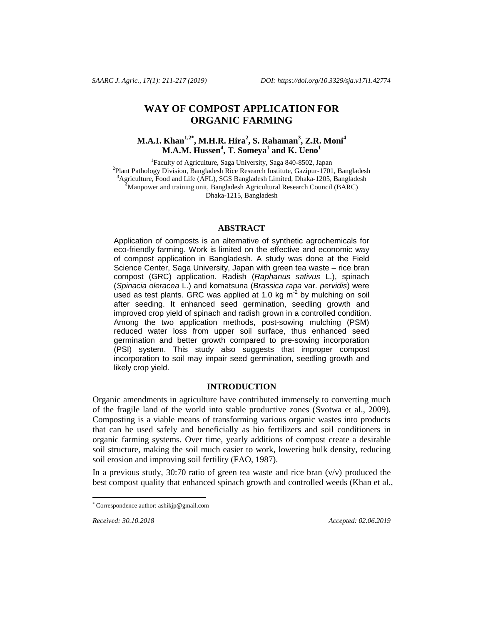# **WAY OF COMPOST APPLICATION FOR ORGANIC FARMING**

# **[M.A.I. Khan](http://www.sciencedirect.com/science/article/pii/S0956053X09002372)[1](http://www.sciencedirect.com/science/article/pii/S0956053X09002372)[,2\\*](http://www.sciencedirect.com/science/article/pii/S0956053X09002372#aff2) , M.H.R. Hira<sup>2</sup> , S. Rahaman<sup>3</sup> , Z.R. Moni<sup>4</sup> M.A.M. Hussen<sup>4</sup> , T. Someya<sup>1</sup> and K. Ueno<sup>1</sup>**

<sup>1</sup>Faculty of Agriculture, Saga University, Saga 840-8502, Japan <sup>2</sup> Plant Pathology Division, Bangladesh Rice Research Institute, Gazipur-1701, Bangladesh <sup>3</sup>Agriculture, Food and Life (AFL), SGS Bangladesh Limited, Dhaka-1205, Bangladesh <sup>4</sup>Manpower and training unit, Bangladesh Agricultural Research Council (BARC) Dhaka-1215, Bangladesh

#### **ABSTRACT**

Application of composts is an alternative of synthetic agrochemicals for eco-friendly farming. Work is limited on the effective and economic way of compost application in Bangladesh. A study was done at the Field Science Center, Saga University, Japan with green tea waste – rice bran compost (GRC) application. Radish (*Raphanus sativus* L.), spinach (*Spinacia oleracea* L.) and komatsuna (*Brassica rapa* var. *pervidis*) were used as test plants. GRC was applied at 1.0 kg  $m^2$  by mulching on soil after seeding. It enhanced seed germination, seedling growth and improved crop yield of spinach and radish grown in a controlled condition. Among the two application methods, post-sowing mulching (PSM) reduced water loss from upper soil surface, thus enhanced seed germination and better growth compared to pre-sowing incorporation (PSI) system. This study also suggests that improper compost incorporation to soil may impair seed germination, seedling growth and likely crop yield.

# **INTRODUCTION**

Organic amendments in agriculture have contributed immensely to converting much of the fragile land of the world into stable productive zones (Svotwa et al., 2009). Composting is a viable means of transforming various organic wastes into products that can be used safely and beneficially as bio fertilizers and soil conditioners in organic farming systems. Over time, yearly additions of compost create a desirable soil structure, making the soil much easier to work, lowering bulk density, reducing soil erosion and improving soil fertility (FAO, 1987).

In a previous study,  $30:70$  ratio of green tea waste and rice bran  $(v/v)$  produced the best compost quality that enhanced spinach growth and controlled weeds (Khan et al.,

 $\overline{a}$ 

*Received: 30.10.2018 Accepted: 02.06.2019*

<sup>\*</sup> Correspondence author: [ashikjp@gmail.com](mailto:ashikjp@gmail.com)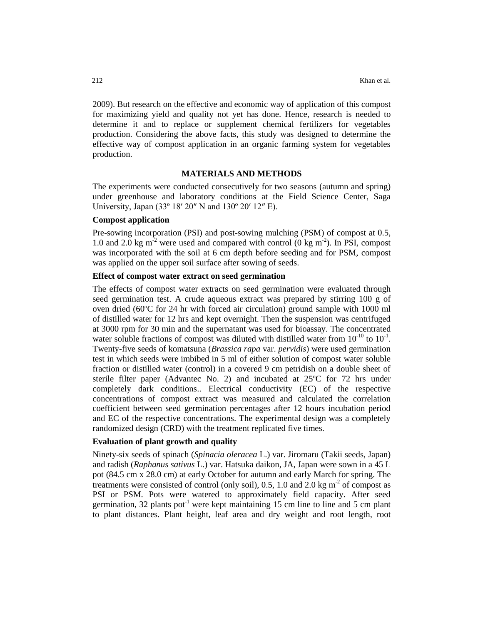2009). But research on the effective and economic way of application of this compost for maximizing yield and quality not yet has done. Hence, research is needed to determine it and to replace or supplement chemical fertilizers for vegetables production. Considering the above facts, this study was designed to determine the effective way of compost application in an organic farming system for vegetables production.

#### **MATERIALS AND METHODS**

The experiments were conducted consecutively for two seasons (autumn and spring) under greenhouse and laboratory conditions at the Field Science Center, Saga University, Japan (33º 18′ 20″ N and 130º 20′ 12″ E).

## **Compost application**

Pre-sowing incorporation (PSI) and post-sowing mulching (PSM) of compost at 0.5, 1.0 and 2.0 kg  $m<sup>2</sup>$  were used and compared with control (0 kg  $m<sup>2</sup>$ ). In PSI, compost was incorporated with the soil at 6 cm depth before seeding and for PSM, compost was applied on the upper soil surface after sowing of seeds.

#### **Effect of compost water extract on seed germination**

The effects of compost water extracts on seed germination were evaluated through seed germination test. A crude aqueous extract was prepared by stirring 100 g of oven dried (60ºC for 24 hr with forced air circulation) ground sample with 1000 ml of distilled water for 12 hrs and kept overnight. Then the suspension was centrifuged at 3000 rpm for 30 min and the supernatant was used for bioassay. The concentrated water soluble fractions of compost was diluted with distilled water from  $10^{-10}$  to  $10^{-1}$ . Twenty-five seeds of komatsuna (*Brassica rapa* var. *pervidis*) were used germination test in which seeds were imbibed in 5 ml of either solution of compost water soluble fraction or distilled water (control) in a covered 9 cm petridish on a double sheet of sterile filter paper (Advantec No. 2) and incubated at 25ºC for 72 hrs under completely dark conditions.. Electrical conductivity (EC) of the respective concentrations of compost extract was measured and calculated the correlation coefficient between seed germination percentages after 12 hours incubation period and EC of the respective concentrations. The experimental design was a completely randomized design (CRD) with the treatment replicated five times.

## **Evaluation of plant growth and quality**

Ninety-six seeds of spinach (*Spinacia oleracea* L.) var. Jiromaru (Takii seeds, Japan) and radish (*Raphanus sativus* L.) var. Hatsuka daikon, JA, Japan were sown in a 45 L pot (84.5 cm x 28.0 cm) at early October for autumn and early March for spring. The treatments were consisted of control (only soil),  $0.5$ ,  $1.0$  and  $2.0$  kg m<sup>2</sup> of compost as PSI or PSM. Pots were watered to approximately field capacity. After seed germination, 32 plants pot<sup>-1</sup> were kept maintaining 15 cm line to line and 5 cm plant to plant distances. Plant height, leaf area and dry weight and root length, root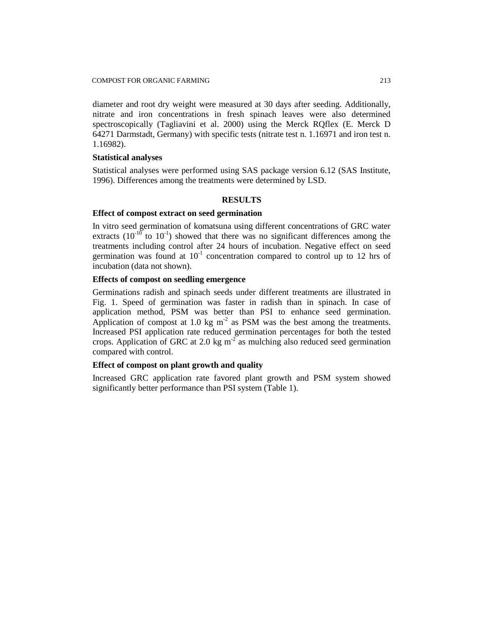diameter and root dry weight were measured at 30 days after seeding. Additionally, nitrate and iron concentrations in fresh spinach leaves were also determined spectroscopically (Tagliavini et al. 2000) using the Merck RQflex (E. Merck D 64271 Darmstadt, Germany) with specific tests (nitrate test n. 1.16971 and iron test n. 1.16982).

## **Statistical analyses**

Statistical analyses were performed using SAS package version 6.12 (SAS Institute, 1996). Differences among the treatments were determined by LSD.

#### **RESULTS**

## **Effect of compost extract on seed germination**

In vitro seed germination of komatsuna using different concentrations of GRC water extracts  $(10^{-10}$  to  $10^{-1}$ ) showed that there was no significant differences among the treatments including control after 24 hours of incubation. Negative effect on seed germination was found at  $10^{-1}$  concentration compared to control up to 12 hrs of incubation (data not shown).

# **Effects of compost on seedling emergence**

Germinations radish and spinach seeds under different treatments are illustrated in Fig. 1. Speed of germination was faster in radish than in spinach. In case of application method, PSM was better than PSI to enhance seed germination. Application of compost at 1.0 kg  $m<sup>-2</sup>$  as PSM was the best among the treatments. Increased PSI application rate reduced germination percentages for both the tested crops. Application of GRC at 2.0 kg  $m^{-2}$  as mulching also reduced seed germination compared with control.

## **Effect of compost on plant growth and quality**

Increased GRC application rate favored plant growth and PSM system showed significantly better performance than PSI system (Table 1).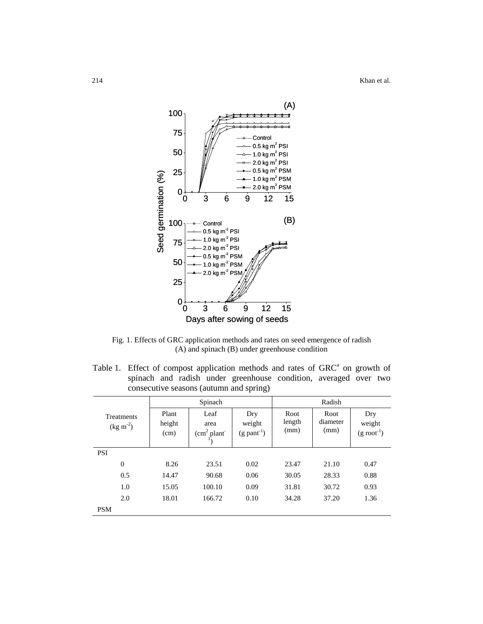214 Khan et al.



Fig. 1. Effects of GRC application methods and rates on seed emergence of radish (A) and spinach (B) under greenhouse condition

Table 1. Effect of compost application methods and rates of  $GRC<sup>a</sup>$  on growth of spinach and radish under greenhouse condition, averaged over two consecutive seasons (autumn and spring)

|                                 |                         | Spinach                        |                                            | Radish                 |                          |                                          |  |  |
|---------------------------------|-------------------------|--------------------------------|--------------------------------------------|------------------------|--------------------------|------------------------------------------|--|--|
| <b>Treatments</b><br>$(kg m-2)$ | Plant<br>height<br>(cm) | Leaf<br>area<br>$(cm2 plant-)$ | Dry<br>weight<br>$(g$ pant <sup>-1</sup> ) | Root<br>length<br>(mm) | Root<br>diameter<br>(mm) | Dry<br>weight<br>$(g \text{ root}^{-1})$ |  |  |
| <b>PSI</b>                      |                         |                                |                                            |                        |                          |                                          |  |  |
| $\theta$                        | 8.26                    | 23.51                          | 0.02                                       | 23.47                  | 21.10                    | 0.47                                     |  |  |
| 0.5                             | 14.47                   | 90.68                          | 0.06                                       | 30.05                  | 28.33                    | 0.88                                     |  |  |
| 1.0                             | 15.05                   | 100.10                         | 0.09                                       | 31.81                  | 30.72                    | 0.93                                     |  |  |
| 2.0                             | 18.01                   | 166.72                         | 0.10                                       | 34.28                  | 37.20                    | 1.36                                     |  |  |
| <b>PSM</b>                      |                         |                                |                                            |                        |                          |                                          |  |  |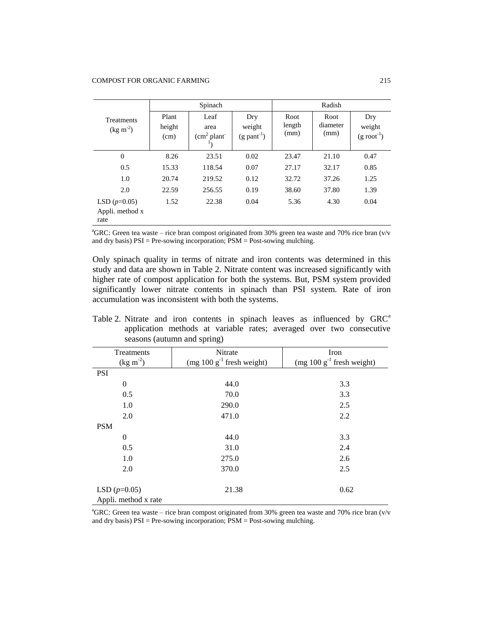|                                           |                         | Spinach                             |                                            | Radish                 |                          |                                          |  |
|-------------------------------------------|-------------------------|-------------------------------------|--------------------------------------------|------------------------|--------------------------|------------------------------------------|--|
| <b>Treatments</b><br>$(kg m-2)$           | Plant<br>height<br>(cm) | Leaf<br>area<br>$\text{cm}^2$ plant | Dry<br>weight<br>$(g$ pant <sup>-1</sup> ) | Root<br>length<br>(mm) | Root<br>diameter<br>(mm) | Dry<br>weight<br>$(g \text{ root}^{-1})$ |  |
| $\theta$                                  | 8.26                    | 23.51                               | 0.02                                       | 23.47                  | 21.10                    | 0.47                                     |  |
| 0.5                                       | 15.33                   | 118.54                              | 0.07                                       | 27.17                  | 32.17                    | 0.85                                     |  |
| 1.0                                       | 20.74                   | 219.52                              | 0.12                                       | 32.72                  | 37.26                    | 1.25                                     |  |
| 2.0                                       | 22.59                   | 256.55                              | 0.19                                       | 38.60                  | 37.80                    | 1.39                                     |  |
| LSD $(p=0.05)$<br>Appli. method x<br>rate | 1.52                    | 22.38                               | 0.04                                       | 5.36                   | 4.30                     | 0.04                                     |  |

 ${}^{\text{a}}\text{GRC}$ : Green tea waste – rice bran compost originated from 30% green tea waste and 70% rice bran (v/v and dry basis) PSI = Pre-sowing incorporation; PSM = Post-sowing mulching.

Only spinach quality in terms of nitrate and iron contents was determined in this study and data are shown in Table 2. Nitrate content was increased significantly with higher rate of compost application for both the systems. But, PSM system provided significantly lower nitrate contents in spinach than PSI system. Rate of iron accumulation was inconsistent with both the systems.

| Table 2. Nitrate and iron contents in spinach leaves as influenced by GRC <sup>a</sup> |                                                                      |  |  |  |  |  |  |  |  |  |
|----------------------------------------------------------------------------------------|----------------------------------------------------------------------|--|--|--|--|--|--|--|--|--|
|                                                                                        | application methods at variable rates; averaged over two consecutive |  |  |  |  |  |  |  |  |  |
|                                                                                        | seasons (autumn and spring)                                          |  |  |  |  |  |  |  |  |  |

| Treatments<br>$(kg \, m^{-2})$         | Nitrate<br>(mg $100 \text{ g}^{-1}$ fresh weight) | Iron<br>(mg $100 \text{ g}^{-1}$ fresh weight) |
|----------------------------------------|---------------------------------------------------|------------------------------------------------|
| PSI                                    |                                                   |                                                |
| $\theta$                               | 44.0                                              | 3.3                                            |
| 0.5                                    | 70.0                                              | 3.3                                            |
| 1.0                                    | 290.0                                             | 2.5                                            |
| 2.0                                    | 471.0                                             | 2.2                                            |
| <b>PSM</b>                             |                                                   |                                                |
| $\theta$                               | 44.0                                              | 3.3                                            |
| 0.5                                    | 31.0                                              | 2.4                                            |
| 1.0                                    | 275.0                                             | 2.6                                            |
| 2.0                                    | 370.0                                             | 2.5                                            |
| LSD $(p=0.05)$<br>Appli. method x rate | 21.38                                             | 0.62                                           |

 ${}^{\text{a}}\text{GRC}$ : Green tea waste – rice bran compost originated from 30% green tea waste and 70% rice bran (v/v and dry basis)  $PSI = Pre-sowing incorporation; PSM = Post-sowing multiplier.$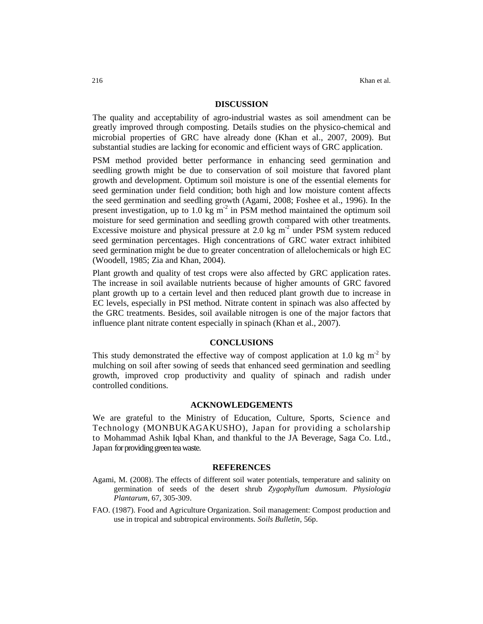#### **DISCUSSION**

The quality and acceptability of agro-industrial wastes as soil amendment can be greatly improved through composting. Details studies on the physico-chemical and microbial properties of GRC have already done (Khan et al., 2007, 2009). But substantial studies are lacking for economic and efficient ways of GRC application.

PSM method provided better performance in enhancing seed germination and seedling growth might be due to conservation of soil moisture that favored plant growth and development. Optimum soil moisture is one of the essential elements for seed germination under field condition; both high and low moisture content affects the seed germination and seedling growth (Agami, 2008; Foshee et al., 1996). In the present investigation, up to 1.0 kg  $m<sup>-2</sup>$  in PSM method maintained the optimum soil moisture for seed germination and seedling growth compared with other treatments. Excessive moisture and physical pressure at 2.0 kg  $m<sup>2</sup>$  under PSM system reduced seed germination percentages. High concentrations of GRC water extract inhibited seed germination might be due to greater concentration of allelochemicals or high EC (Woodell, 1985; Zia and Khan, 2004).

Plant growth and quality of test crops were also affected by GRC application rates. The increase in soil available nutrients because of higher amounts of GRC favored plant growth up to a certain level and then reduced plant growth due to increase in EC levels, especially in PSI method. Nitrate content in spinach was also affected by the GRC treatments. Besides, soil available nitrogen is one of the major factors that influence plant nitrate content especially in spinach (Khan et al., 2007).

## **CONCLUSIONS**

This study demonstrated the effective way of compost application at 1.0 kg  $m<sup>2</sup>$  by mulching on soil after sowing of seeds that enhanced seed germination and seedling growth, improved crop productivity and quality of spinach and radish under controlled conditions.

#### **ACKNOWLEDGEMENTS**

We are grateful to the Ministry of Education, Culture, Sports, Science and Technology (MONBUKAGAKUSHO), Japan for providing a scholarship to Mohammad Ashik Iqbal Khan, and thankful to the JA Beverage, Saga Co. Ltd., Japan for providing green tea waste.

#### **REFERENCES**

- Agami, M. (2008). The effects of different soil water potentials, temperature and salinity on germination of seeds of the desert shrub *Zygophyllum dumosum*. *Physiologia Plantarum*, 67, 305-309.
- FAO. (1987). Food and Agriculture Organization. Soil management: Compost production and use in tropical and subtropical environments. *Soils Bulletin*, 56p.